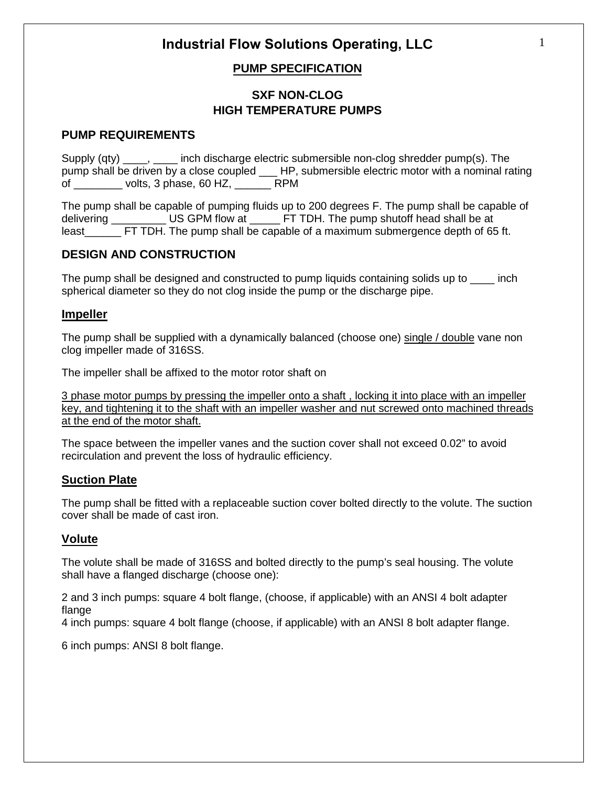## **PUMP SPECIFICATION**

## **SXF NON-CLOG HIGH TEMPERATURE PUMPS**

## **PUMP REQUIREMENTS**

Supply (qty) \_\_\_\_, \_\_\_\_ inch discharge electric submersible non-clog shredder pump(s). The pump shall be driven by a close coupled \_\_\_ HP, submersible electric motor with a nominal rating of \_\_\_\_\_\_\_\_ volts, 3 phase, 60 HZ, \_\_\_\_\_\_ RPM

The pump shall be capable of pumping fluids up to 200 degrees F. The pump shall be capable of delivering **EXECU BE US GPM flow at LET TDH.** The pump shutoff head shall be at least FT TDH. The pump shall be capable of a maximum submergence depth of 65 ft.

## **DESIGN AND CONSTRUCTION**

The pump shall be designed and constructed to pump liquids containing solids up to \_\_\_\_ inch spherical diameter so they do not clog inside the pump or the discharge pipe.

## **Impeller**

The pump shall be supplied with a dynamically balanced (choose one) single / double vane non clog impeller made of 316SS.

The impeller shall be affixed to the motor rotor shaft on

3 phase motor pumps by pressing the impeller onto a shaft , locking it into place with an impeller key, and tightening it to the shaft with an impeller washer and nut screwed onto machined threads at the end of the motor shaft.

The space between the impeller vanes and the suction cover shall not exceed 0.02" to avoid recirculation and prevent the loss of hydraulic efficiency.

## **Suction Plate**

The pump shall be fitted with a replaceable suction cover bolted directly to the volute. The suction cover shall be made of cast iron.

## **Volute**

The volute shall be made of 316SS and bolted directly to the pump's seal housing. The volute shall have a flanged discharge (choose one):

2 and 3 inch pumps: square 4 bolt flange, (choose, if applicable) with an ANSI 4 bolt adapter flange

4 inch pumps: square 4 bolt flange (choose, if applicable) with an ANSI 8 bolt adapter flange.

6 inch pumps: ANSI 8 bolt flange.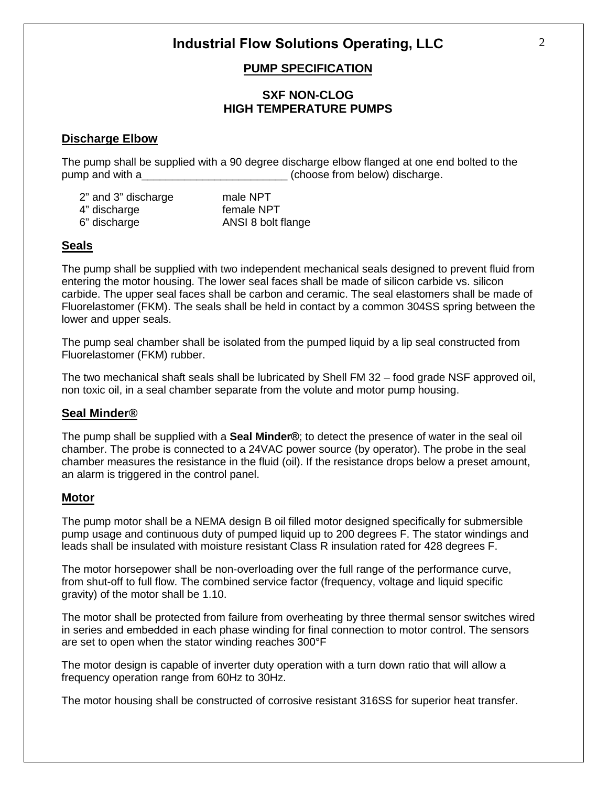## **PUMP SPECIFICATION**

## **SXF NON-CLOG HIGH TEMPERATURE PUMPS**

## **Discharge Elbow**

The pump shall be supplied with a 90 degree discharge elbow flanged at one end bolted to the pump and with a\_\_\_\_\_\_\_\_\_\_\_\_\_\_\_\_\_\_\_\_\_\_\_\_\_\_\_\_\_\_\_(choose from below) discharge.

| 2" and 3" discharge | male NPT           |
|---------------------|--------------------|
| 4" discharge        | female NPT         |
| 6" discharge        | ANSI 8 bolt flange |

## **Seals**

The pump shall be supplied with two independent mechanical seals designed to prevent fluid from entering the motor housing. The lower seal faces shall be made of silicon carbide vs. silicon carbide. The upper seal faces shall be carbon and ceramic. The seal elastomers shall be made of Fluorelastomer (FKM). The seals shall be held in contact by a common 304SS spring between the lower and upper seals.

The pump seal chamber shall be isolated from the pumped liquid by a lip seal constructed from Fluorelastomer (FKM) rubber.

The two mechanical shaft seals shall be lubricated by Shell FM 32 – food grade NSF approved oil, non toxic oil, in a seal chamber separate from the volute and motor pump housing.

## **Seal Minder®**

The pump shall be supplied with a **Seal Minder®**; to detect the presence of water in the seal oil chamber. The probe is connected to a 24VAC power source (by operator). The probe in the seal chamber measures the resistance in the fluid (oil). If the resistance drops below a preset amount, an alarm is triggered in the control panel.

#### **Motor**

The pump motor shall be a NEMA design B oil filled motor designed specifically for submersible pump usage and continuous duty of pumped liquid up to 200 degrees F. The stator windings and leads shall be insulated with moisture resistant Class R insulation rated for 428 degrees F.

The motor horsepower shall be non-overloading over the full range of the performance curve, from shut-off to full flow. The combined service factor (frequency, voltage and liquid specific gravity) of the motor shall be 1.10.

The motor shall be protected from failure from overheating by three thermal sensor switches wired in series and embedded in each phase winding for final connection to motor control. The sensors are set to open when the stator winding reaches 300°F

The motor design is capable of inverter duty operation with a turn down ratio that will allow a frequency operation range from 60Hz to 30Hz.

The motor housing shall be constructed of corrosive resistant 316SS for superior heat transfer.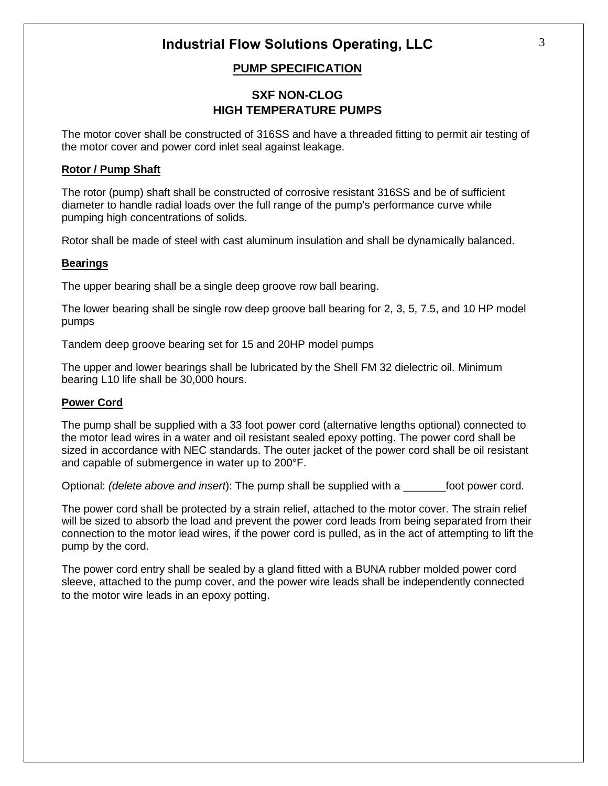## **PUMP SPECIFICATION**

## **SXF NON-CLOG HIGH TEMPERATURE PUMPS**

The motor cover shall be constructed of 316SS and have a threaded fitting to permit air testing of the motor cover and power cord inlet seal against leakage.

#### **Rotor / Pump Shaft**

The rotor (pump) shaft shall be constructed of corrosive resistant 316SS and be of sufficient diameter to handle radial loads over the full range of the pump's performance curve while pumping high concentrations of solids.

Rotor shall be made of steel with cast aluminum insulation and shall be dynamically balanced.

#### **Bearings**

The upper bearing shall be a single deep groove row ball bearing.

The lower bearing shall be single row deep groove ball bearing for 2, 3, 5, 7.5, and 10 HP model pumps

Tandem deep groove bearing set for 15 and 20HP model pumps

The upper and lower bearings shall be lubricated by the Shell FM 32 dielectric oil. Minimum bearing L10 life shall be 30,000 hours.

#### **Power Cord**

The pump shall be supplied with a 33 foot power cord (alternative lengths optional) connected to the motor lead wires in a water and oil resistant sealed epoxy potting. The power cord shall be sized in accordance with NEC standards. The outer jacket of the power cord shall be oil resistant and capable of submergence in water up to 200°F.

Optional: *(delete above and insert*): The pump shall be supplied with a \_\_\_\_\_\_\_foot power cord.

The power cord shall be protected by a strain relief, attached to the motor cover. The strain relief will be sized to absorb the load and prevent the power cord leads from being separated from their connection to the motor lead wires, if the power cord is pulled, as in the act of attempting to lift the pump by the cord.

The power cord entry shall be sealed by a gland fitted with a BUNA rubber molded power cord sleeve, attached to the pump cover, and the power wire leads shall be independently connected to the motor wire leads in an epoxy potting.